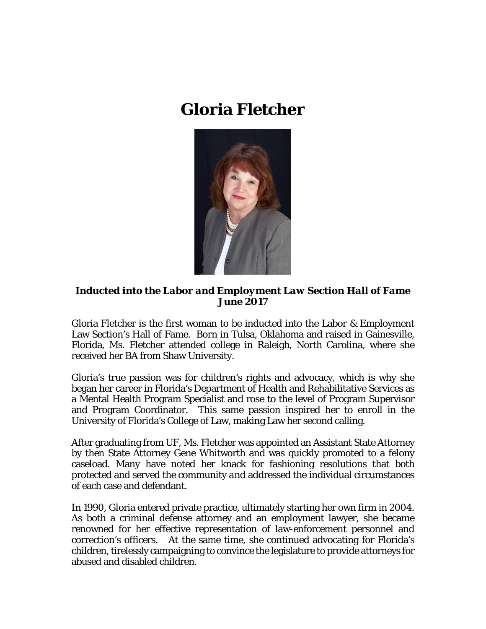## **Gloria Fletcher**



*Inducted into the Labor and Employment Law Section Hall of Fame June 2017*

Gloria Fletcher is the first woman to be inducted into the Labor & Employment Law Section's Hall of Fame. Born in Tulsa, Oklahoma and raised in Gainesville, Florida, Ms. Fletcher attended college in Raleigh, North Carolina, where she received her BA from Shaw University.

Gloria's true passion was for children's rights and advocacy, which is why she began her career in Florida's Department of Health and Rehabilitative Services as a Mental Health Program Specialist and rose to the level of Program Supervisor and Program Coordinator. This same passion inspired her to enroll in the University of Florida's College of Law, making Law her second calling.

After graduating from UF, Ms. Fletcher was appointed an Assistant State Attorney by then State Attorney Gene Whitworth and was quickly promoted to a felony caseload. Many have noted her knack for fashioning resolutions that both protected and served the community *and* addressed the individual circumstances of each case and defendant.

In 1990, Gloria entered private practice, ultimately starting her own firm in 2004. As both a criminal defense attorney and an employment lawyer, she became renowned for her effective representation of law-enforcement personnel and correction's officers. At the same time, she continued advocating for Florida's children, tirelessly campaigning to convince the legislature to provide attorneys for abused and disabled children.